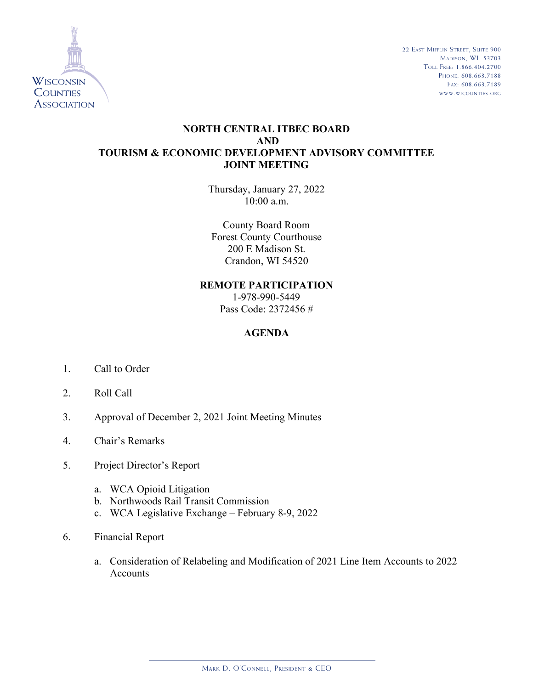

22 EAST MIFFLIN STREET, SUITE 900 MADISON, WI 53703 TOLL FREE: 1.866.404.2700 PHONE: 608.663.7188 FAX: 608.663.7189 WWW.WICOUNTIES.ORG

## **NORTH CENTRAL ITBEC BOARD AND TOURISM & ECONOMIC DEVELOPMENT ADVISORY COMMITTEE JOINT MEETING**

Thursday, January 27, 2022 10:00 a.m.

County Board Room Forest County Courthouse 200 E Madison St. Crandon, WI 54520

**REMOTE PARTICIPATION** 1-978-990-5449

Pass Code: 2372456 #

## **AGENDA**

- 1. Call to Order
- 2. Roll Call
- 3. Approval of December 2, 2021 Joint Meeting Minutes
- 4. Chair's Remarks
- 5. Project Director's Report
	- a. WCA Opioid Litigation
	- b. Northwoods Rail Transit Commission
	- c. WCA Legislative Exchange February 8-9, 2022
- 6. Financial Report
	- a. Consideration of Relabeling and Modification of 2021 Line Item Accounts to 2022 Accounts